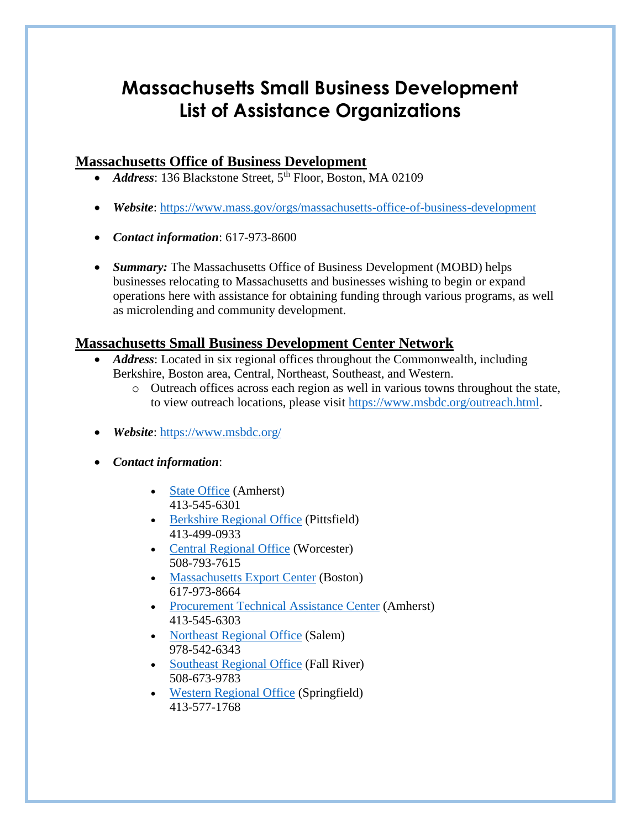# **Massachusetts Small Business Development List of Assistance Organizations**

# **Massachusetts Office of Business Development**

- *Address*: 136 Blackstone Street, 5<sup>th</sup> Floor, Boston, MA 02109
- *Website*:<https://www.mass.gov/orgs/massachusetts-office-of-business-development>
- *Contact information*: 617-973-8600
- *Summary:* The Massachusetts Office of Business Development (MOBD) helps businesses relocating to Massachusetts and businesses wishing to begin or expand operations here with assistance for obtaining funding through various programs, as well as microlending and community development.

# **Massachusetts Small Business Development Center Network**

- *Address*: Located in six regional offices throughout the Commonwealth, including Berkshire, Boston area, Central, Northeast, Southeast, and Western.
	- o Outreach offices across each region as well in various towns throughout the state, to view outreach locations, please visit [https://www.msbdc.org/outreach.html.](https://www.msbdc.org/outreach.html)
- *Website*:<https://www.msbdc.org/>
- *Contact information*:
	- [State Office](http://www.msbdc.org/) (Amherst) 413-545-6301
	- [Berkshire Regional Office](http://www.msbdc.org/berkshire) (Pittsfield) 413-499-0933
	- [Central Regional Office](http://www.clarku.edu/offices/sbdc/) (Worcester) 508-793-7615
	- [Massachusetts Export Center](http://www.mass.gov/export) (Boston) 617-973-8664
	- [Procurement Technical Assistance Center](http://www.msbdc.org/ptac) (Amherst) 413-545-6303
	- [Northeast Regional Office](http://www.salemstate.edu/sbdc) (Salem) 978-542-6343
	- [Southeast Regional Office](http://www.msbdc.org/semass) (Fall River) 508-673-9783
	- [Western Regional Office](http://www.msbdc.org/wmass) (Springfield) 413-577-1768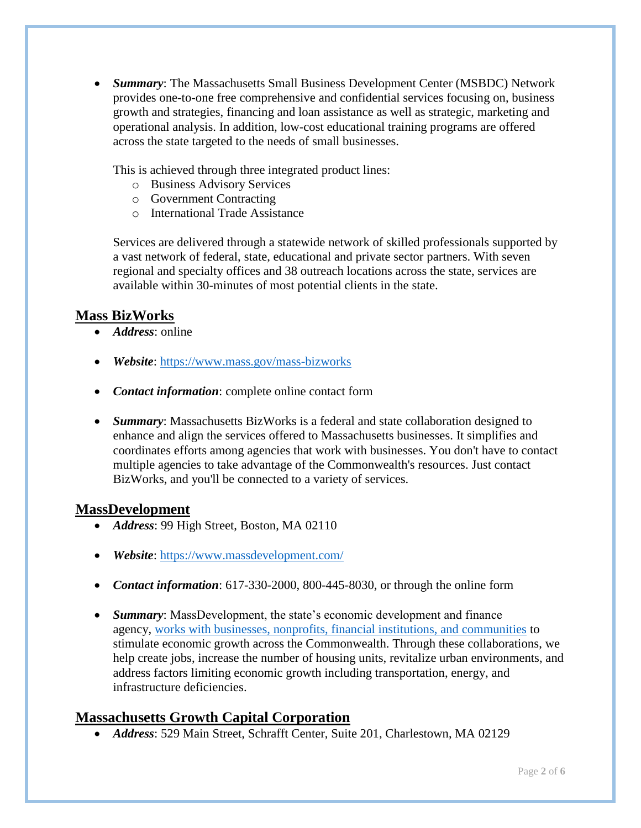*Summary*: The Massachusetts Small Business Development Center (MSBDC) Network provides one-to-one free comprehensive and confidential services focusing on, business growth and strategies, financing and loan assistance as well as strategic, marketing and operational analysis. In addition, low-cost educational training programs are offered across the state targeted to the needs of small businesses.

This is achieved through three integrated product lines:

- o Business Advisory Services
- o Government Contracting
- o International Trade Assistance

Services are delivered through a statewide network of skilled professionals supported by a vast network of federal, state, educational and private sector partners. With seven regional and specialty offices and 38 outreach locations across the state, services are available within 30-minutes of most potential clients in the state.

### **Mass BizWorks**

- *Address*: online
- *Website*:<https://www.mass.gov/mass-bizworks>
- *Contact information*: complete online contact form
- *Summary*: Massachusetts BizWorks is a federal and state collaboration designed to enhance and align the services offered to Massachusetts businesses. It simplifies and coordinates efforts among agencies that work with businesses. You don't have to contact multiple agencies to take advantage of the Commonwealth's resources. Just contact BizWorks, and you'll be connected to a variety of services.

#### **MassDevelopment**

- Address: 99 High Street, Boston, MA 02110
- *Website*:<https://www.massdevelopment.com/>
- *Contact information*: 617-330-2000, 800-445-8030, or through the online form
- *Summary*: MassDevelopment, the state's economic development and finance agency, [works with businesses, nonprofits, financial institutions, and communities](https://www.massdevelopment.com/who-we-help/) to stimulate economic growth across the Commonwealth. Through these collaborations, we help create jobs, increase the number of housing units, revitalize urban environments, and address factors limiting economic growth including transportation, energy, and infrastructure deficiencies.

### **Massachusetts Growth Capital Corporation**

*Address*: 529 Main Street, Schrafft Center, Suite 201, Charlestown, MA 02129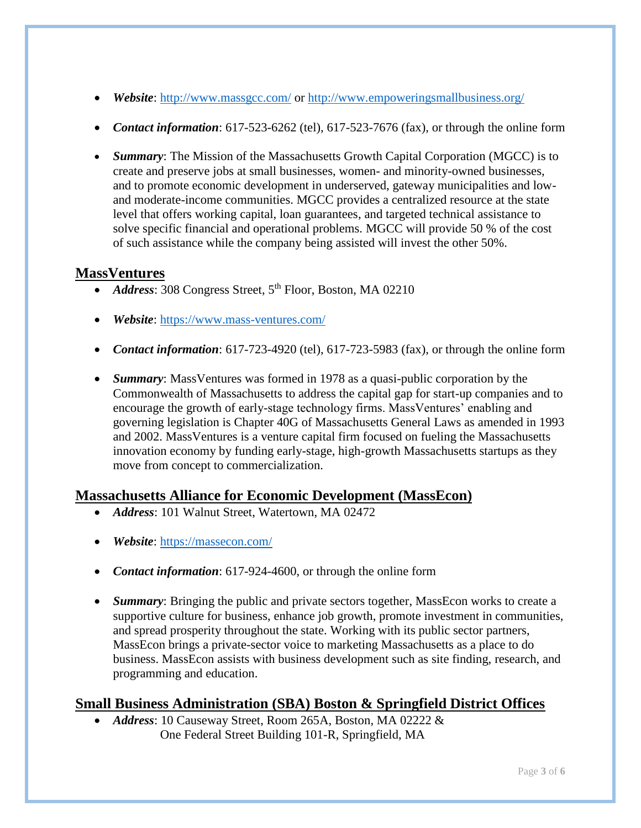- *Website*:<http://www.massgcc.com/> or<http://www.empoweringsmallbusiness.org/>
- **Contact information**: 617-523-6262 (tel), 617-523-7676 (fax), or through the online form
- *Summary*: The Mission of the Massachusetts Growth Capital Corporation (MGCC) is to create and preserve jobs at small businesses, women- and minority-owned businesses, and to promote economic development in underserved, gateway municipalities and lowand moderate-income communities. MGCC provides a centralized resource at the state level that offers working capital, loan guarantees, and targeted technical assistance to solve specific financial and operational problems. MGCC will provide 50 % of the cost of such assistance while the company being assisted will invest the other 50%.

#### **MassVentures**

- *Address*: 308 Congress Street, 5<sup>th</sup> Floor, Boston, MA 02210
- *Website*:<https://www.mass-ventures.com/>
- *Contact information*: 617-723-4920 (tel), 617-723-5983 (fax), or through the online form
- *Summary*: MassVentures was formed in 1978 as a quasi-public corporation by the Commonwealth of Massachusetts to address the capital gap for start-up companies and to encourage the growth of early-stage technology firms. MassVentures' enabling and governing legislation is Chapter 40G of Massachusetts General Laws as amended in 1993 and 2002. MassVentures is a venture capital firm focused on fueling the Massachusetts innovation economy by funding early-stage, high-growth Massachusetts startups as they move from concept to commercialization.

### **Massachusetts Alliance for Economic Development (MassEcon)**

- *Address*: 101 Walnut Street, Watertown, MA 02472
- *Website*:<https://massecon.com/>
- **Contact information**: 617-924-4600, or through the online form
- *Summary*: Bringing the public and private sectors together, MassEcon works to create a supportive culture for business, enhance job growth, promote investment in communities, and spread prosperity throughout the state. Working with its public sector partners, MassEcon brings a private-sector voice to marketing Massachusetts as a place to do business. MassEcon assists with business development such as site finding, research, and programming and education.

# **Small Business Administration (SBA) Boston & Springfield District Offices**

 *Address*: 10 Causeway Street, Room 265A, Boston, MA 02222 & One Federal Street Building 101-R, Springfield, MA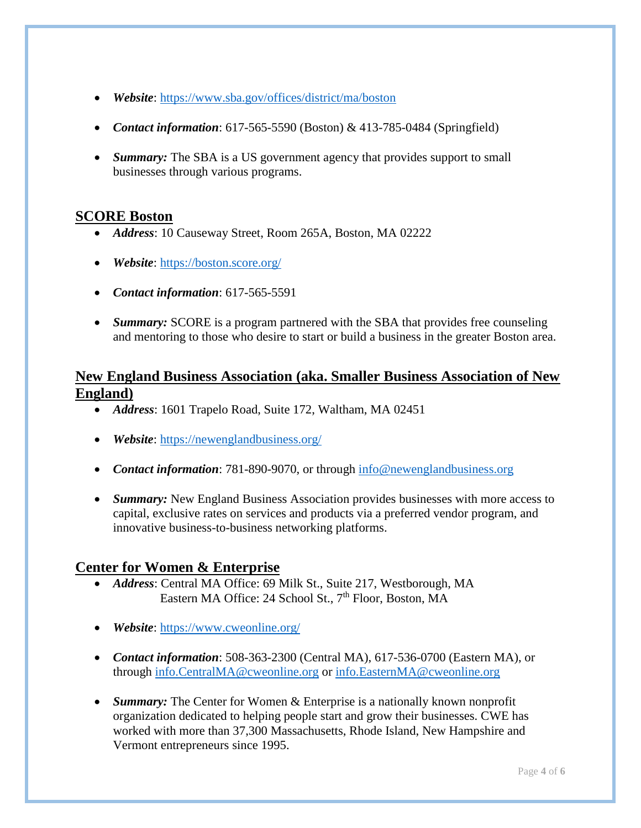- *Website*:<https://www.sba.gov/offices/district/ma/boston>
- *Contact information*: 617-565-5590 (Boston) & 413-785-0484 (Springfield)
- *Summary:* The SBA is a US government agency that provides support to small businesses through various programs.

### **SCORE Boston**

- *Address*: 10 Causeway Street, Room 265A, Boston, MA 02222
- *Website*:<https://boston.score.org/>
- *Contact information*: 617-565-5591
- *Summary:* SCORE is a program partnered with the SBA that provides free counseling and mentoring to those who desire to start or build a business in the greater Boston area.

# **New England Business Association (aka. Smaller Business Association of New England)**

- *Address*: 1601 Trapelo Road, Suite 172, Waltham, MA 02451
- *Website*:<https://newenglandbusiness.org/>
- *Contact information*: 781-890-9070, or through [info@newenglandbusiness.org](mailto:info@newenglandbusiness.org)
- *Summary:* New England Business Association provides businesses with more access to capital, exclusive rates on services and products via a preferred vendor program, and innovative business-to-business networking platforms.

### **Center for Women & Enterprise**

- *Address*: Central MA Office: 69 Milk St., Suite 217, Westborough, MA Eastern MA Office: 24 School St., 7<sup>th</sup> Floor, Boston, MA
- *Website*:<https://www.cweonline.org/>
- *Contact information*: 508-363-2300 (Central MA), 617-536-0700 (Eastern MA), or through [info.CentralMA@cweonline.org](mailto:info.CentralMA@cweonline.org) or [info.EasternMA@cweonline.org](mailto:info.EasternMA@cweonline.org)
- *Summary:* The Center for Women & Enterprise is a nationally known nonprofit organization dedicated to helping people start and grow their businesses. CWE has worked with more than 37,300 Massachusetts, Rhode Island, New Hampshire and Vermont entrepreneurs since 1995.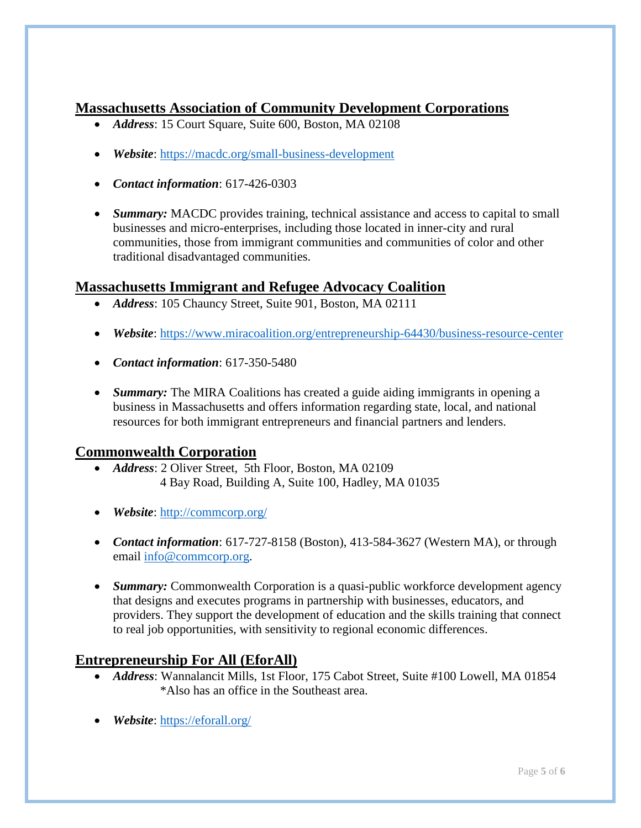# **Massachusetts Association of Community Development Corporations**

- *Address*: 15 Court Square, Suite 600, Boston, MA 02108
- *Website*:<https://macdc.org/small-business-development>
- *Contact information*: 617-426-0303
- *Summary:* MACDC provides training, technical assistance and access to capital to small businesses and micro-enterprises, including those located in inner-city and rural communities, those from immigrant communities and communities of color and other traditional disadvantaged communities.

# **Massachusetts Immigrant and Refugee Advocacy Coalition**

- *Address*: 105 Chauncy Street, Suite 901, Boston, MA 02111
- *Website*:<https://www.miracoalition.org/entrepreneurship-64430/business-resource-center>
- *Contact information*: 617-350-5480
- *Summary:* The MIRA Coalitions has created a guide aiding immigrants in opening a business in Massachusetts and offers information regarding state, local, and national resources for both immigrant entrepreneurs and financial partners and lenders.

### **Commonwealth Corporation**

- *Address*: 2 Oliver Street, 5th Floor, Boston, MA 02109 4 Bay Road, Building A, Suite 100, Hadley, MA 01035
- *Website*:<http://commcorp.org/>
- *Contact information*: 617-727-8158 (Boston), 413-584-3627 (Western MA), or through email [info@commcorp.org.](mailto:info@commcorp.org)
- *Summary:* Commonwealth Corporation is a quasi-public workforce development agency that designs and executes programs in partnership with businesses, educators, and providers. They support the development of education and the skills training that connect to real job opportunities, with sensitivity to regional economic differences.

# **Entrepreneurship For All (EforAll)**

- *Address*: Wannalancit Mills, 1st Floor, 175 Cabot Street, Suite #100 Lowell, MA 01854 \*Also has an office in the Southeast area.
- *Website*:<https://eforall.org/>